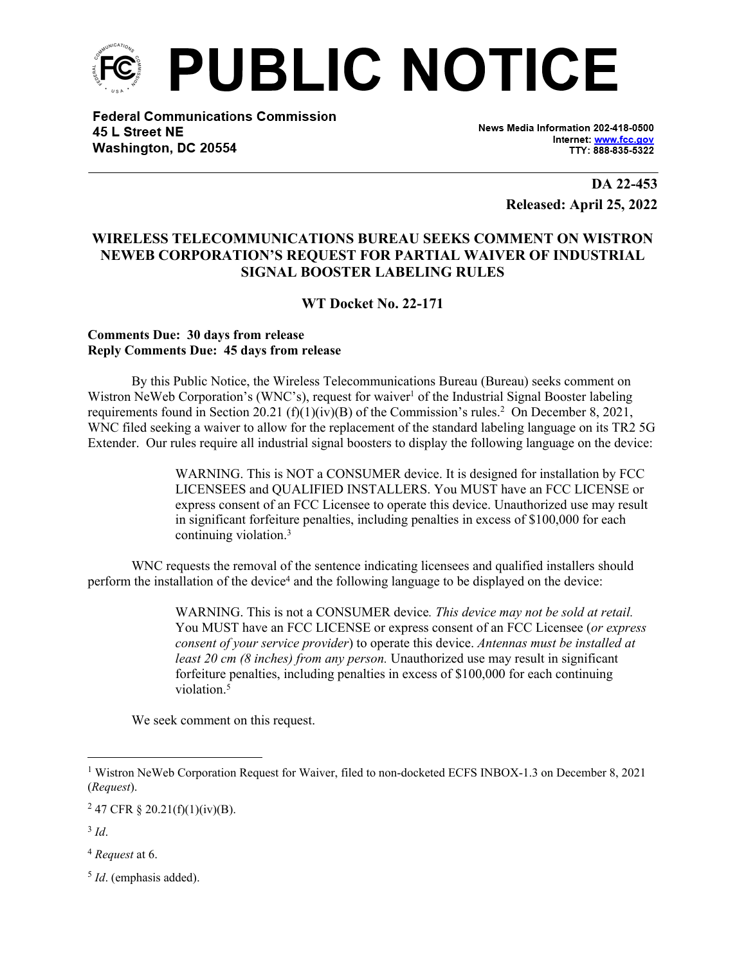

**Federal Communications Commission** 45 L Street NE Washington, DC 20554

News Media Information 202-418-0500 Internet: www.fcc.gov TTY: 888-835-5322

> **DA 22-453 Released: April 25, 2022**

## **WIRELESS TELECOMMUNICATIONS BUREAU SEEKS COMMENT ON WISTRON NEWEB CORPORATION'S REQUEST FOR PARTIAL WAIVER OF INDUSTRIAL SIGNAL BOOSTER LABELING RULES**

**WT Docket No. 22-171**

## **Comments Due: 30 days from release Reply Comments Due: 45 days from release**

By this Public Notice, the Wireless Telecommunications Bureau (Bureau) seeks comment on Wistron NeWeb Corporation's (WNC's), request for waiver<sup>1</sup> of the Industrial Signal Booster labeling requirements found in Section 20.21  $(f)(1)(iv)(B)$  of the Commission's rules.<sup>2</sup> On December 8, 2021, WNC filed seeking a waiver to allow for the replacement of the standard labeling language on its TR2 5G Extender. Our rules require all industrial signal boosters to display the following language on the device:

> WARNING. This is NOT a CONSUMER device. It is designed for installation by FCC LICENSEES and QUALIFIED INSTALLERS. You MUST have an FCC LICENSE or express consent of an FCC Licensee to operate this device. Unauthorized use may result in significant forfeiture penalties, including penalties in excess of \$100,000 for each continuing violation.<sup>3</sup>

WNC requests the removal of the sentence indicating licensees and qualified installers should perform the installation of the device<sup>4</sup> and the following language to be displayed on the device:

> WARNING. This is not a CONSUMER device*. This device may not be sold at retail.* You MUST have an FCC LICENSE or express consent of an FCC Licensee (*or express consent of your service provider*) to operate this device. *Antennas must be installed at least 20 cm (8 inches) from any person.* Unauthorized use may result in significant forfeiture penalties, including penalties in excess of \$100,000 for each continuing violation<sup>5</sup>

We seek comment on this request.

<sup>4</sup> *Request* at 6.

5 *Id*. (emphasis added).

<sup>&</sup>lt;sup>1</sup> Wistron NeWeb Corporation Request for Waiver, filed to non-docketed ECFS INBOX-1.3 on December 8, 2021 (*Request*).

<sup>&</sup>lt;sup>2</sup> 47 CFR § 20.21(f)(1)(iv)(B).

<sup>3</sup> *Id*.